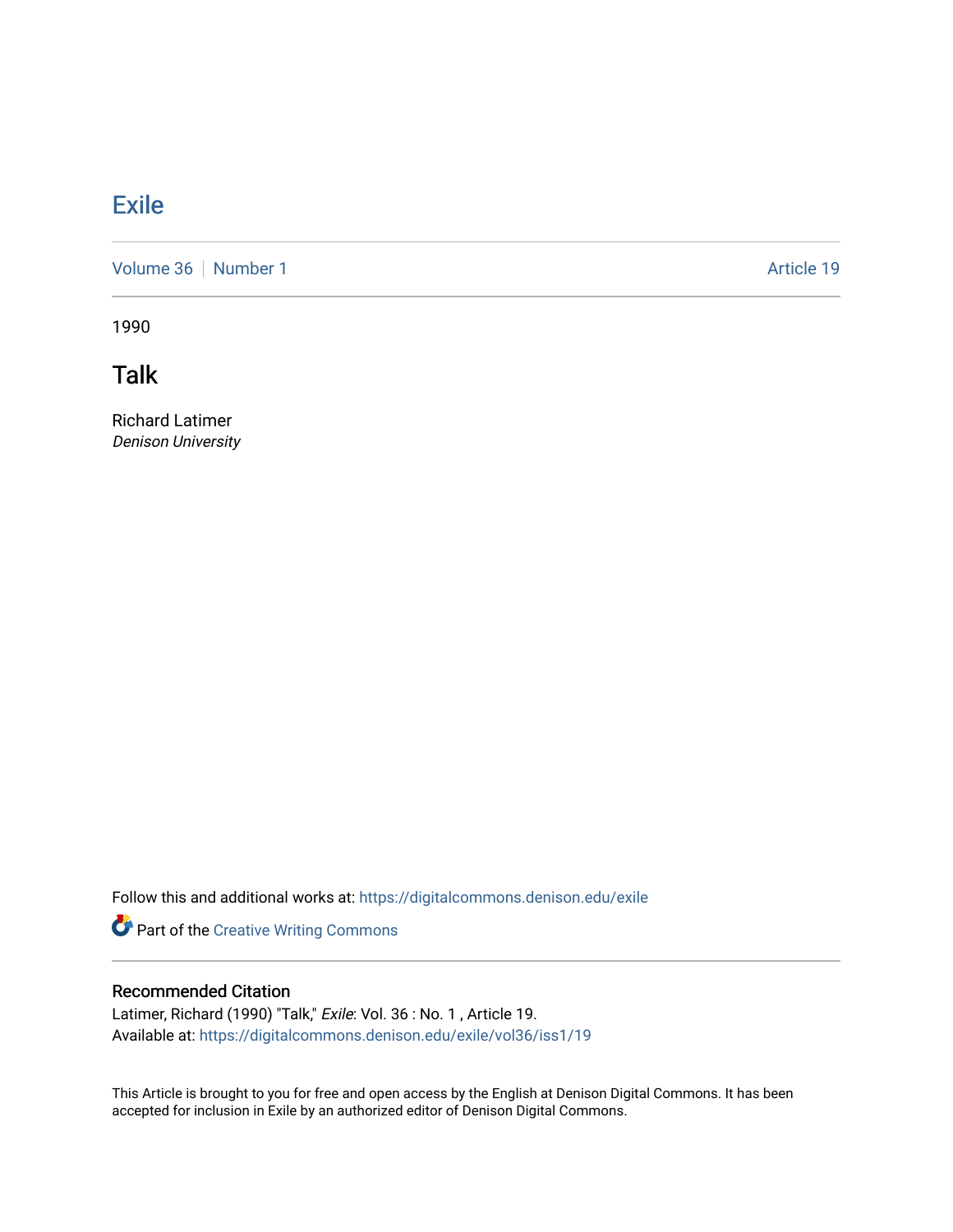## **[Exile](https://digitalcommons.denison.edu/exile)**

[Volume 36](https://digitalcommons.denison.edu/exile/vol36) [Number 1](https://digitalcommons.denison.edu/exile/vol36/iss1) Article 19

1990

Talk

Richard Latimer Denison University

Follow this and additional works at: [https://digitalcommons.denison.edu/exile](https://digitalcommons.denison.edu/exile?utm_source=digitalcommons.denison.edu%2Fexile%2Fvol36%2Fiss1%2F19&utm_medium=PDF&utm_campaign=PDFCoverPages) 

Part of the [Creative Writing Commons](http://network.bepress.com/hgg/discipline/574?utm_source=digitalcommons.denison.edu%2Fexile%2Fvol36%2Fiss1%2F19&utm_medium=PDF&utm_campaign=PDFCoverPages) 

## Recommended Citation

Latimer, Richard (1990) "Talk," Exile: Vol. 36 : No. 1, Article 19. Available at: [https://digitalcommons.denison.edu/exile/vol36/iss1/19](https://digitalcommons.denison.edu/exile/vol36/iss1/19?utm_source=digitalcommons.denison.edu%2Fexile%2Fvol36%2Fiss1%2F19&utm_medium=PDF&utm_campaign=PDFCoverPages)

This Article is brought to you for free and open access by the English at Denison Digital Commons. It has been accepted for inclusion in Exile by an authorized editor of Denison Digital Commons.